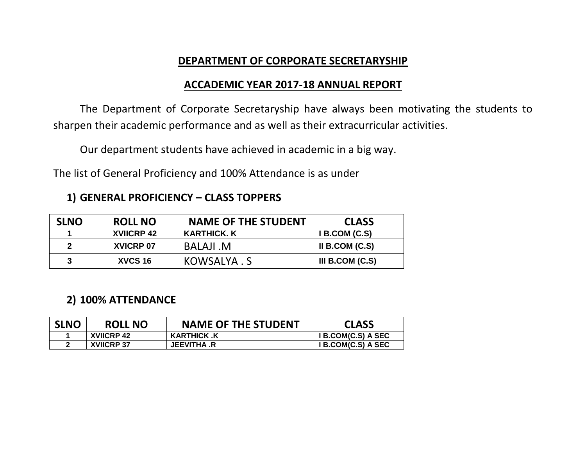### **DEPARTMENT OF CORPORATE SECRETARYSHIP**

#### **ACCADEMIC YEAR 2017-18 ANNUAL REPORT**

The Department of Corporate Secretaryship have always been motivating the students to sharpen their academic performance and as well as their extracurricular activities.

Our department students have achieved in academic in a big way.

The list of General Proficiency and 100% Attendance is as under

| <b>SLNO</b> | <b>ROLL NO</b>    | <b>NAME OF THE STUDENT</b> | <b>CLASS</b>      |
|-------------|-------------------|----------------------------|-------------------|
|             | <b>XVIICRP 42</b> | KARTHICK. K                | I B. COM (C.S)    |
|             | <b>XVICRP 07</b>  | <b>BALAJI .M</b>           | II B.COM $(C.S)$  |
|             | XVCS 16           | KOWSALYA.S                 | III B.COM $(C.S)$ |

#### **2) 100% ATTENDANCE**

| <b>SLNO</b> | <b>ROLL NO</b>    | <b>NAME OF THE STUDENT</b> | <b>CLASS</b>       |
|-------------|-------------------|----------------------------|--------------------|
|             | XVIICRP 42        | <b>KARTHICK .K</b>         | I B.COM(C.S) A SEC |
|             | <b>XVIICRP 37</b> | <b>JEEVITHA .R</b>         | I B.COM(C.S) A SEC |